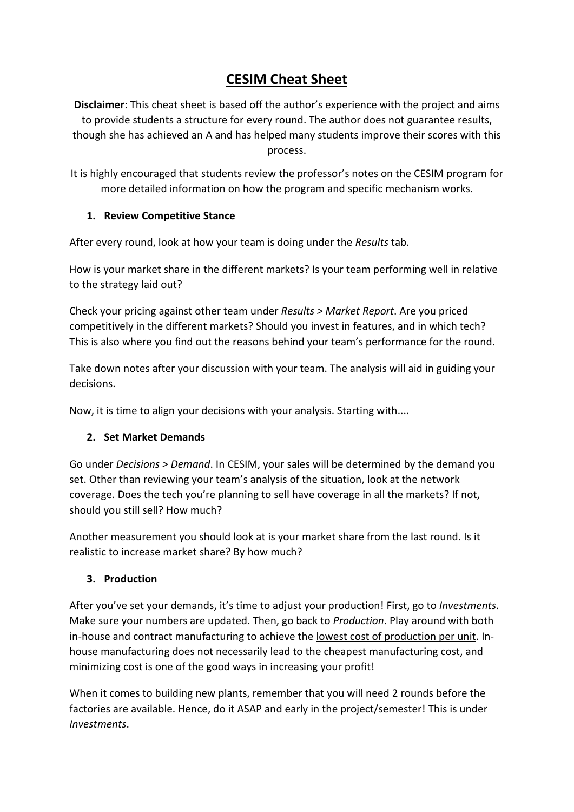# **CESIM Cheat Sheet**

**Disclaimer**: This cheat sheet is based off the author's experience with the project and aims to provide students a structure for every round. The author does not guarantee results, though she has achieved an A and has helped many students improve their scores with this process.

It is highly encouraged that students review the professor's notes on the CESIM program for more detailed information on how the program and specific mechanism works.

## **1. Review Competitive Stance**

After every round, look at how your team is doing under the *Results* tab.

How is your market share in the different markets? Is your team performing well in relative to the strategy laid out?

Check your pricing against other team under *Results > Market Report*. Are you priced competitively in the different markets? Should you invest in features, and in which tech? This is also where you find out the reasons behind your team's performance for the round.

Take down notes after your discussion with your team. The analysis will aid in guiding your decisions.

Now, it is time to align your decisions with your analysis. Starting with....

## **2. Set Market Demands**

Go under *Decisions > Demand*. In CESIM, your sales will be determined by the demand you set. Other than reviewing your team's analysis of the situation, look at the network coverage. Does the tech you're planning to sell have coverage in all the markets? If not, should you still sell? How much?

Another measurement you should look at is your market share from the last round. Is it realistic to increase market share? By how much?

## **3. Production**

After you've set your demands, it's time to adjust your production! First, go to *Investments*. Make sure your numbers are updated. Then, go back to *Production*. Play around with both in-house and contract manufacturing to achieve the lowest cost of production per unit. Inhouse manufacturing does not necessarily lead to the cheapest manufacturing cost, and minimizing cost is one of the good ways in increasing your profit!

When it comes to building new plants, remember that you will need 2 rounds before the factories are available. Hence, do it ASAP and early in the project/semester! This is under *Investments*.